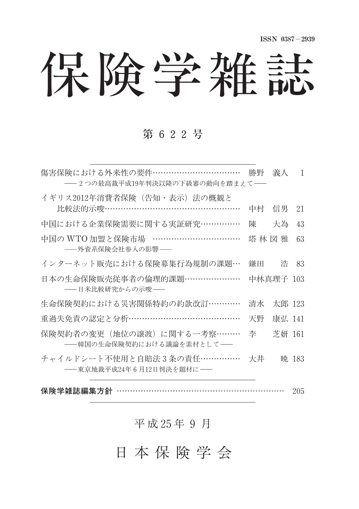保険学雑誌

### 第 622号

| 傷害保険における外来性の要件……………………………<br>――2つの最高裁平成19年判決以降の下級審の動向を踏まえて―― | 勝野 | 義人        | 1     |
|--------------------------------------------------------------|----|-----------|-------|
| イギリス2012年消費者保険(告知・表示)法の概観と<br>比較法的示唆……………………………………………        | 中村 | 信男        | 21    |
| 中国における企業保険需要に関する実証研究……………                                    | 陳  | 大為        | 43    |
| 中国の WTO 加盟と保険市場 ……………………………<br>――外資系保険会社参入の影響――              |    | 塔林 図 雅    | 63    |
| インターネット販売における保険募集行為規制の課題…                                    | 鎌田 | 浩         | 83    |
| 日本の生命保険販売従事者の倫理的課題…………………<br>――日米比較研究からの示唆――                 |    | 中林真理子 103 |       |
| 生命保険契約における災害関係特約の約款改訂…………                                    | 清水 | 太郎 123    |       |
| 重過失免責の認定と分析……………………………………                                    | 天野 | 康弘 141    |       |
| 保険契約者の変更(地位の譲渡)に関する一考察………<br>―― 韓国の生命保険契約における議論を素材として――      | 李  | 芝妍 161    |       |
| チャイルドシート不使用と自賠法 3 条の責任……………<br>——東京地裁平成24年6月12日判決を題材に――      | 大井 |           | 暁 183 |

保険学雑誌編集方針 ……………………………………………………… 205

## 平 成 25年 9 月

## 日 本 保 険 学 会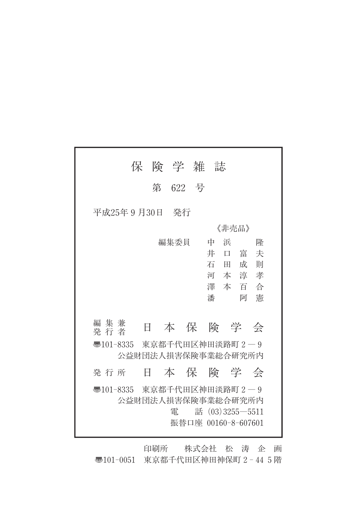|                             | 保 険 学 雑 |         | 誌                                                        |                                                                  |  |
|-----------------------------|---------|---------|----------------------------------------------------------|------------------------------------------------------------------|--|
|                             |         | 第 622 号 |                                                          |                                                                  |  |
| 平成25年9月30日                  |         | - 発行    |                                                          |                                                                  |  |
|                             |         |         | 《非壳品》                                                    |                                                                  |  |
| 編集兼                         |         | 編集委員    | 浜<br>中<br>井<br>$\Box$<br>石<br>田<br>本<br>河<br>澤<br>本<br>潘 | 降<br>富<br>夫<br>成<br>則<br>淳<br>孝<br>百<br>合<br>憲<br>阿              |  |
| 発行者                         | Ħ       |         |                                                          | 本保険学会                                                            |  |
| न्5101-8335 東京都千代田区神田淡路町2-9 |         |         |                                                          | 公益財団法人損害保険事業総合研究所内                                               |  |
| 発行所                         | Ħ       |         |                                                          | 本 保 険 学 会                                                        |  |
| न्5101-8335 東京都千代田区神田淡路町2-9 |         | 雷       |                                                          | 公益財団法人損害保険事業総合研究所内<br>話 $(03)3255 - 5511$<br>振替口座 00160-8-607601 |  |

印刷所 株式会社 松 涛 企 画 〠101-0051 東京都千代田区神田神保町2-445階